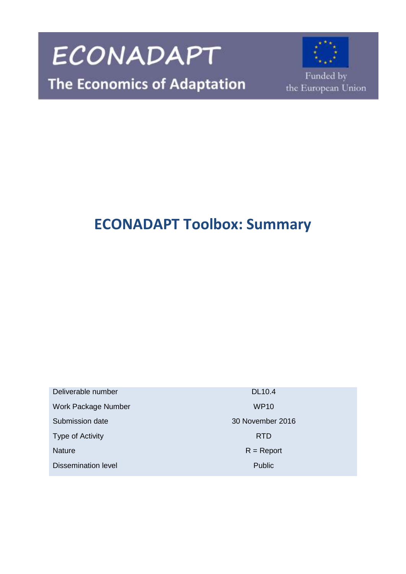

## **ECONADAPT Toolbox: Summary**

Deliverable number DL10.4 Work Package Number WP10 Submission date 30 November 2016 Type of Activity **RTD** Nature R = Report Dissemination level **Public** Public **Public**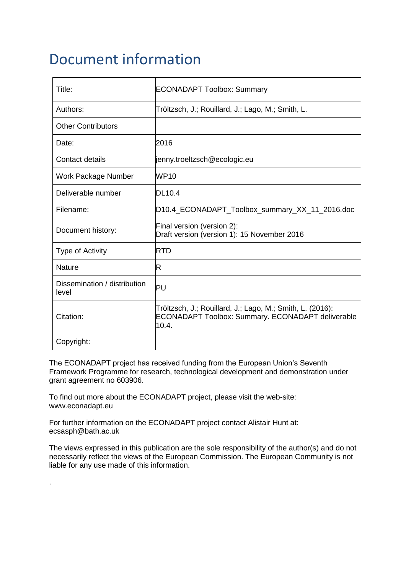### Document information

| Title:                                | <b>ECONADAPT Toolbox: Summary</b>                                                                                              |
|---------------------------------------|--------------------------------------------------------------------------------------------------------------------------------|
| Authors:                              | Tröltzsch, J.; Rouillard, J.; Lago, M.; Smith, L.                                                                              |
| <b>Other Contributors</b>             |                                                                                                                                |
| Date:                                 | 2016                                                                                                                           |
| <b>Contact details</b>                | jenny.troeltzsch@ecologic.eu                                                                                                   |
| Work Package Number                   | WP10                                                                                                                           |
| Deliverable number                    | DL10.4                                                                                                                         |
| Filename:                             | D10.4_ECONADAPT_Toolbox_summary_XX_11_2016.doc                                                                                 |
| Document history:                     | Final version (version 2):<br>Draft version (version 1): 15 November 2016                                                      |
| Type of Activity                      | <b>RTD</b>                                                                                                                     |
| <b>Nature</b>                         | R                                                                                                                              |
| Dissemination / distribution<br>level | PU                                                                                                                             |
| Citation:                             | Tröltzsch, J.; Rouillard, J.; Lago, M.; Smith, L. (2016):<br><b>ECONADAPT Toolbox: Summary. ECONADAPT deliverable</b><br>10.4. |
| Copyright:                            |                                                                                                                                |

The ECONADAPT project has received funding from the European Union's Seventh Framework Programme for research, technological development and demonstration under grant agreement no 603906.

To find out more about the ECONADAPT project, please visit the web-site: www.econadapt.eu

For further information on the ECONADAPT project contact Alistair Hunt at: ecsasph@bath.ac.uk

.

The views expressed in this publication are the sole responsibility of the author(s) and do not necessarily reflect the views of the European Commission. The European Community is not liable for any use made of this information.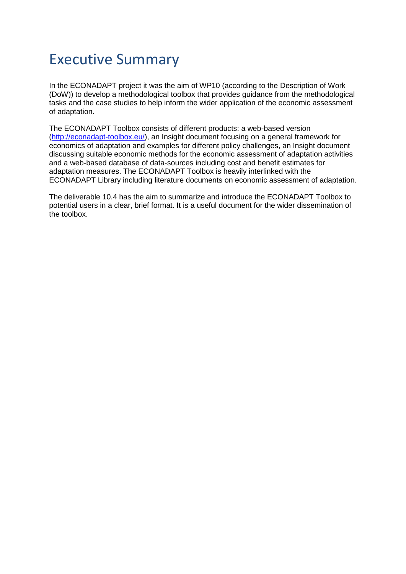### Executive Summary

In the ECONADAPT project it was the aim of WP10 (according to the Description of Work (DoW)) to develop a methodological toolbox that provides guidance from the methodological tasks and the case studies to help inform the wider application of the economic assessment of adaptation.

The ECONADAPT Toolbox consists of different products: a web-based version [\(http://econadapt-toolbox.eu/\)](http://econadapt-toolbox.eu/), an Insight document focusing on a general framework for economics of adaptation and examples for different policy challenges, an Insight document discussing suitable economic methods for the economic assessment of adaptation activities and a web-based database of data-sources including cost and benefit estimates for adaptation measures. The ECONADAPT Toolbox is heavily interlinked with the ECONADAPT Library including literature documents on economic assessment of adaptation.

The deliverable 10.4 has the aim to summarize and introduce the ECONADAPT Toolbox to potential users in a clear, brief format. It is a useful document for the wider dissemination of the toolbox.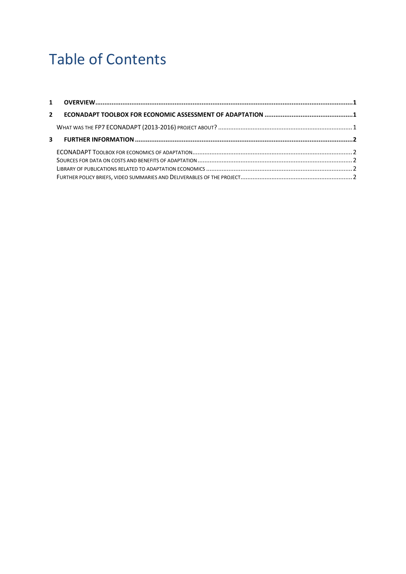# Table of Contents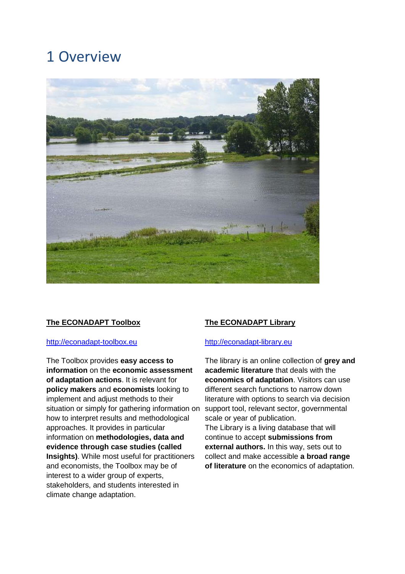### <span id="page-4-0"></span>1 Overview



#### **The ECONADAPT Toolbox**

#### [http://econadapt-toolbox.eu](http://econadapt-toolbox.eu/)

The Toolbox provides **easy access to information** on the **economic assessment of adaptation actions**. It is relevant for **policy makers** and **economists** looking to implement and adjust methods to their situation or simply for gathering information on support tool, relevant sector, governmental how to interpret results and methodological approaches. It provides in particular information on **methodologies, data and evidence through case studies (called Insights)**. While most useful for practitioners and economists, the Toolbox may be of interest to a wider group of experts, stakeholders, and students interested in climate change adaptation.

#### **The ECONADAPT Library**

#### [http://econadapt-library.eu](http://econadapt-library.eu/)

The library is an online collection of **grey and academic literature** that deals with the **economics of adaptation**. Visitors can use different search functions to narrow down literature with options to search via decision scale or year of publication. The Library is a living database that will continue to accept **submissions from**

**external authors.** In this way, sets out to collect and make accessible **a broad range of literature** on the economics of adaptation.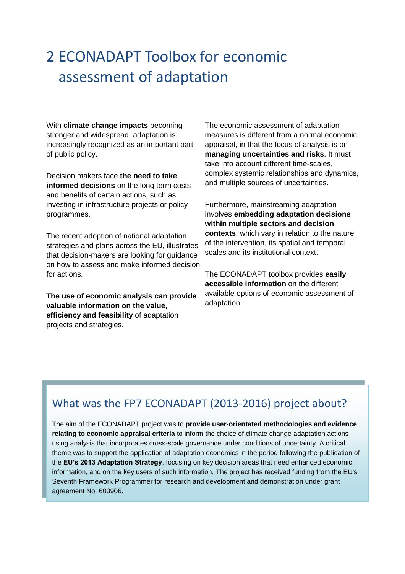## <span id="page-5-0"></span>2 ECONADAPT Toolbox for economic assessment of adaptation

With **climate change impacts** becoming stronger and widespread, adaptation is increasingly recognized as an important part of public policy.

Decision makers face **the need to take informed decisions** on the long term costs and benefits of certain actions, such as investing in infrastructure projects or policy programmes.

The recent adoption of national adaptation strategies and plans across the EU, illustrates that decision-makers are looking for guidance on how to assess and make informed decision for actions.

**The use of economic analysis can provide valuable information on the value, efficiency and feasibility** of adaptation projects and strategies.

The economic assessment of adaptation measures is different from a normal economic appraisal, in that the focus of analysis is on **managing uncertainties and risks**. It must take into account different time-scales, complex systemic relationships and dynamics, and multiple sources of uncertainties.

Furthermore, mainstreaming adaptation involves **embedding adaptation decisions within multiple sectors and decision contexts**, which vary in relation to the nature of the intervention, its spatial and temporal scales and its institutional context.

The ECONADAPT toolbox provides **easily accessible information** on the different available options of economic assessment of adaptation.

### What was the FP7 ECONADAPT (2013-2016) project about?

The aim of the ECONADAPT project was to **provide user-orientated methodologies and evidence relating to economic appraisal criteria** to inform the choice of climate change adaptation actions using analysis that incorporates cross-scale governance under conditions of uncertainty. A critical theme was to support the application of adaptation economics in the period following the publication of the **EU's 2013 Adaptation Strategy**, focusing on key decision areas that need enhanced economic information, and on the key users of such information. The project has received funding from the EU's Seventh Framework Programmer for research and development and demonstration under grant agreement No. 603906.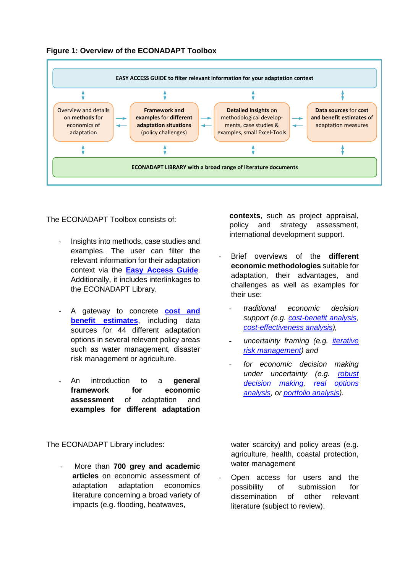

#### **Figure 1: Overview of the ECONADAPT Toolbox**

The ECONADAPT Toolbox consists of:

- Insights into methods, case studies and examples. The user can filter the relevant information for their adaptation context via the **[Easy Access Guide](http://econadapt-toolbox.eu/easy-access-guide)**. Additionally, it includes interlinkages to the ECONADAPT Library.
- A gateway to concrete **[cost and](http://econadapt-toolbox.eu/data-sources)  [benefit estimates](http://econadapt-toolbox.eu/data-sources)**, including data sources for 44 different adaptation options in several relevant policy areas such as water management, disaster risk management or agriculture.
- An introduction to a **general**  framework for economic **assessment** of adaptation and **examples for different adaptation**

The ECONADAPT Library includes:

<span id="page-6-0"></span>- More than **700 grey and academic articles** on economic assessment of adaptation adaptation economics literature concerning a broad variety of impacts (e.g. flooding, heatwaves,

**contexts**, such as project appraisal, policy and strategy assessment, international development support.

- Brief overviews of the **different economic methodologies** suitable for adaptation, their advantages, and challenges as well as examples for their use:
	- *traditional economic decision support (e.g. [cost-benefit analysis,](http://econadapt-toolbox.eu/node/12) [cost-effectiveness analysis\)](http://econadapt-toolbox.eu/cost-effectiveness-analysis),*
	- *uncertainty framing (e.g. [iterative](http://econadapt-toolbox.eu/iterative-risk-management-adaptive-management)  [risk management\)](http://econadapt-toolbox.eu/iterative-risk-management-adaptive-management) and*
	- *for economic decision making under uncertainty (e.g. [robust](http://econadapt-toolbox.eu/robust-decision-making)  [decision making,](http://econadapt-toolbox.eu/robust-decision-making) [real options](http://econadapt-toolbox.eu/real-options-analysis)  [analysis,](http://econadapt-toolbox.eu/real-options-analysis) or [portfolio analysis\)](http://econadapt-toolbox.eu/portfolio-analysis).*

water scarcity) and policy areas (e.g. agriculture, health, coastal protection, water management

Open access for users and the possibility of submission for dissemination of other relevant literature (subject to review).